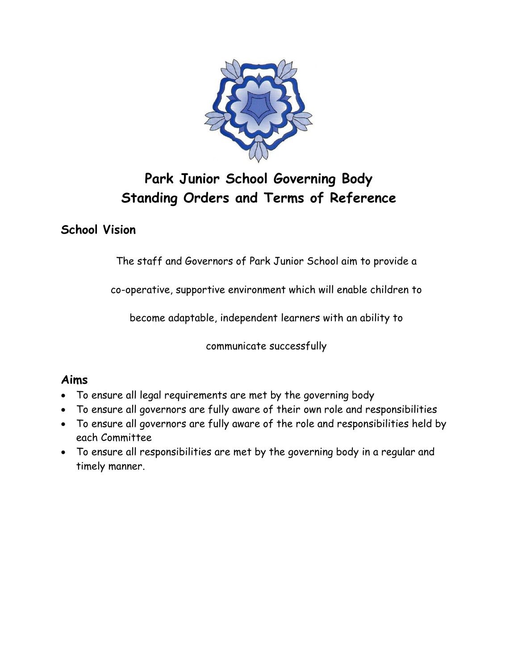

# **Park Junior School Governing Body Standing Orders and Terms of Reference**

## **School Vision**

The staff and Governors of Park Junior School aim to provide a

co-operative, supportive environment which will enable children to

become adaptable, independent learners with an ability to

communicate successfully

#### **Aims**

- To ensure all legal requirements are met by the governing body
- To ensure all governors are fully aware of their own role and responsibilities
- To ensure all governors are fully aware of the role and responsibilities held by each Committee
- To ensure all responsibilities are met by the governing body in a regular and timely manner.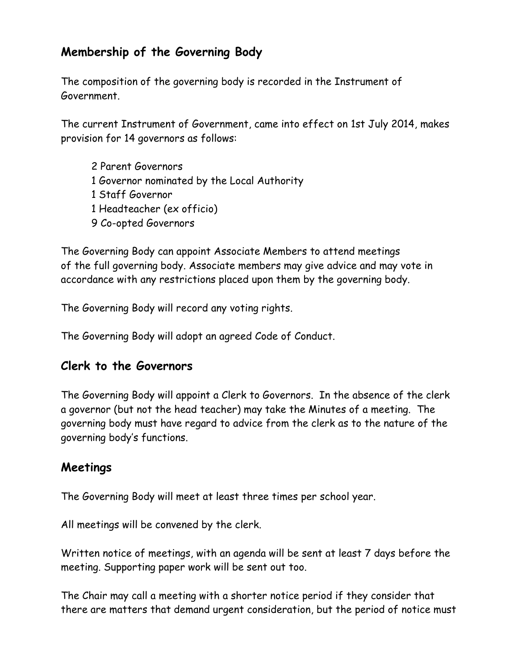## **Membership of the Governing Body**

The composition of the governing body is recorded in the Instrument of Government.

The current Instrument of Government, came into effect on 1st July 2014, makes provision for 14 governors as follows:

2 Parent Governors 1 Governor nominated by the Local Authority 1 Staff Governor 1 Headteacher (ex officio) 9 Co-opted Governors

The Governing Body can appoint Associate Members to attend meetings of the full governing body. Associate members may give advice and may vote in accordance with any restrictions placed upon them by the governing body.

The Governing Body will record any voting rights.

The Governing Body will adopt an agreed Code of Conduct.

#### **Clerk to the Governors**

The Governing Body will appoint a Clerk to Governors. In the absence of the clerk a governor (but not the head teacher) may take the Minutes of a meeting. The governing body must have regard to advice from the clerk as to the nature of the governing body's functions.

#### **Meetings**

The Governing Body will meet at least three times per school year.

All meetings will be convened by the clerk.

Written notice of meetings, with an agenda will be sent at least 7 days before the meeting. Supporting paper work will be sent out too.

The Chair may call a meeting with a shorter notice period if they consider that there are matters that demand urgent consideration, but the period of notice must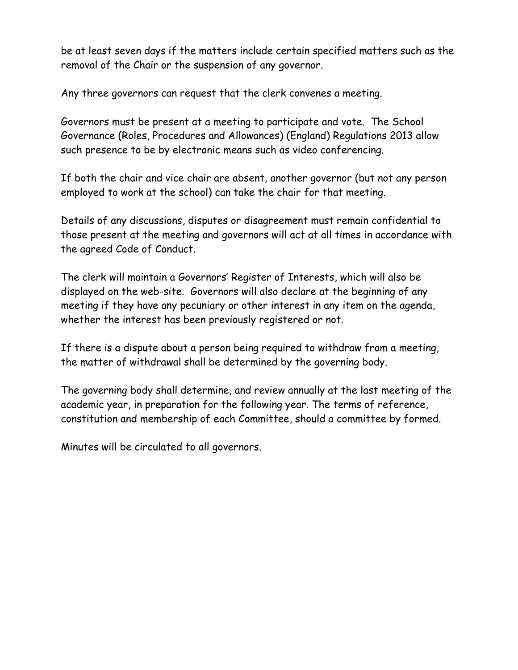be at least seven days if the matters include certain specified matters such as the removal of the Chair or the suspension of any governor.

Any three governors can request that the clerk convenes a meeting.

Governors must be present at a meeting to participate and vote. The School Governance (Roles, Procedures and Allowances) (England) Regulations 2013 allow such presence to be by electronic means such as video conferencing.

If both the chair and vice chair are absent, another governor (but not any person employed to work at the school) can take the chair for that meeting.

Details of any discussions, disputes or disagreement must remain confidential to those present at the meeting and governors will act at all times in accordance with the agreed Code of Conduct.

The clerk will maintain a Governors' Register of Interests, which will also be displayed on the web-site. Governors will also declare at the beginning of any meeting if they have any pecuniary or other interest in any item on the agenda, whether the interest has been previously registered or not.

If there is a dispute about a person being required to withdraw from a meeting, the matter of withdrawal shall be determined by the governing body.

The governing body shall determine, and review annually at the last meeting of the academic year, in preparation for the following year. The terms of reference, constitution and membership of each Committee, should a committee by formed.

Minutes will be circulated to all governors.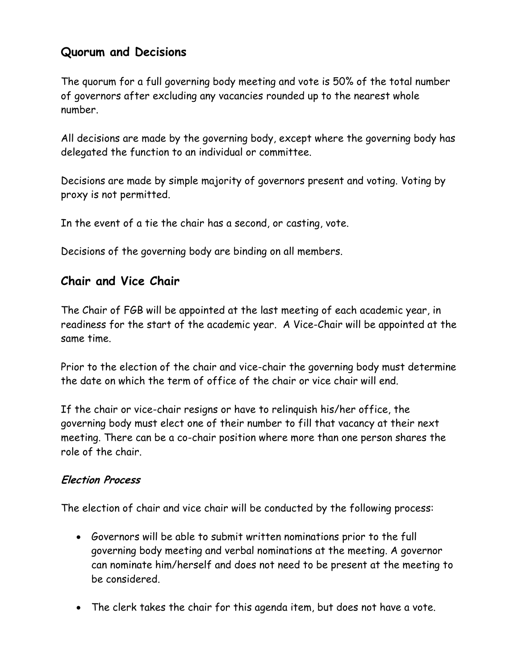## **Quorum and Decisions**

The quorum for a full governing body meeting and vote is 50% of the total number of governors after excluding any vacancies rounded up to the nearest whole number.

All decisions are made by the governing body, except where the governing body has delegated the function to an individual or committee.

Decisions are made by simple majority of governors present and voting. Voting by proxy is not permitted.

In the event of a tie the chair has a second, or casting, vote.

Decisions of the governing body are binding on all members.

### **Chair and Vice Chair**

The Chair of FGB will be appointed at the last meeting of each academic year, in readiness for the start of the academic year. A Vice-Chair will be appointed at the same time.

Prior to the election of the chair and vice-chair the governing body must determine the date on which the term of office of the chair or vice chair will end.

If the chair or vice-chair resigns or have to relinquish his/her office, the governing body must elect one of their number to fill that vacancy at their next meeting. There can be a co-chair position where more than one person shares the role of the chair.

#### **Election Process**

The election of chair and vice chair will be conducted by the following process:

- Governors will be able to submit written nominations prior to the full governing body meeting and verbal nominations at the meeting. A governor can nominate him/herself and does not need to be present at the meeting to be considered.
- The clerk takes the chair for this agenda item, but does not have a vote.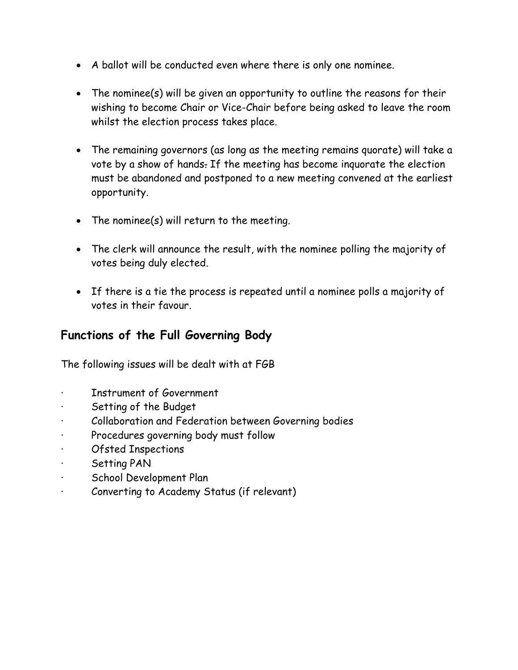- A ballot will be conducted even where there is only one nominee.
- The nominee(s) will be given an opportunity to outline the reasons for their wishing to become Chair or Vice-Chair before being asked to leave the room whilst the election process takes place.
- The remaining governors (as long as the meeting remains quorate) will take a vote by a show of hands. If the meeting has become inquorate the election must be abandoned and postponed to a new meeting convened at the earliest opportunity.
- The nominee(s) will return to the meeting.
- The clerk will announce the result, with the nominee polling the majority of votes being duly elected.
- If there is a tie the process is repeated until a nominee polls a majority of votes in their favour.

## **Functions of the Full Governing Body**

The following issues will be dealt with at FGB

- Instrument of Government
- Setting of the Budget
- Collaboration and Federation between Governing bodies
- · Procedures governing body must follow
- Ofsted Inspections
- · Setting PAN
- School Development Plan
- Converting to Academy Status (if relevant)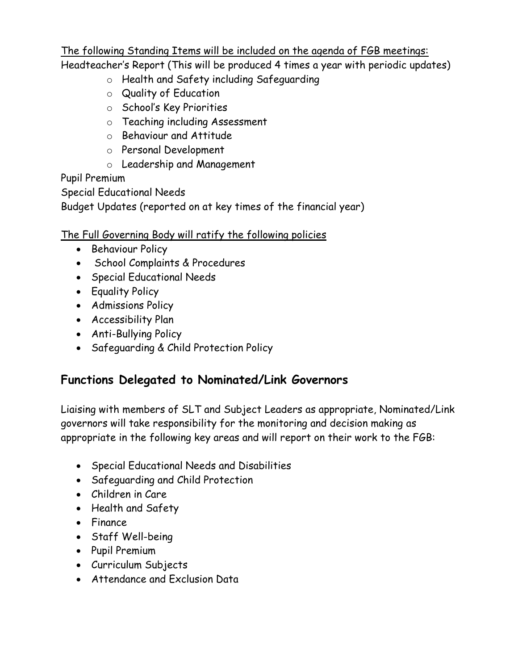The following Standing Items will be included on the agenda of FGB meetings:

Headteacher's Report (This will be produced 4 times a year with periodic updates)

- o Health and Safety including Safeguarding
- o Quality of Education
- o School's Key Priorities
- o Teaching including Assessment
- o Behaviour and Attitude
- o Personal Development
- o Leadership and Management

#### Pupil Premium

Special Educational Needs

Budget Updates (reported on at key times of the financial year)

#### The Full Governing Body will ratify the following policies

- Behaviour Policy
- School Complaints & Procedures
- Special Educational Needs
- Equality Policy
- **•** Admissions Policy
- Accessibility Plan
- Anti-Bullying Policy
- Safeguarding & Child Protection Policy

# **Functions Delegated to Nominated/Link Governors**

Liaising with members of SLT and Subject Leaders as appropriate, Nominated/Link governors will take responsibility for the monitoring and decision making as appropriate in the following key areas and will report on their work to the FGB:

- Special Educational Needs and Disabilities
- Safeguarding and Child Protection
- Children in Care
- Health and Safety
- Finance
- Staff Well-being
- Pupil Premium
- Curriculum Subjects
- Attendance and Exclusion Data